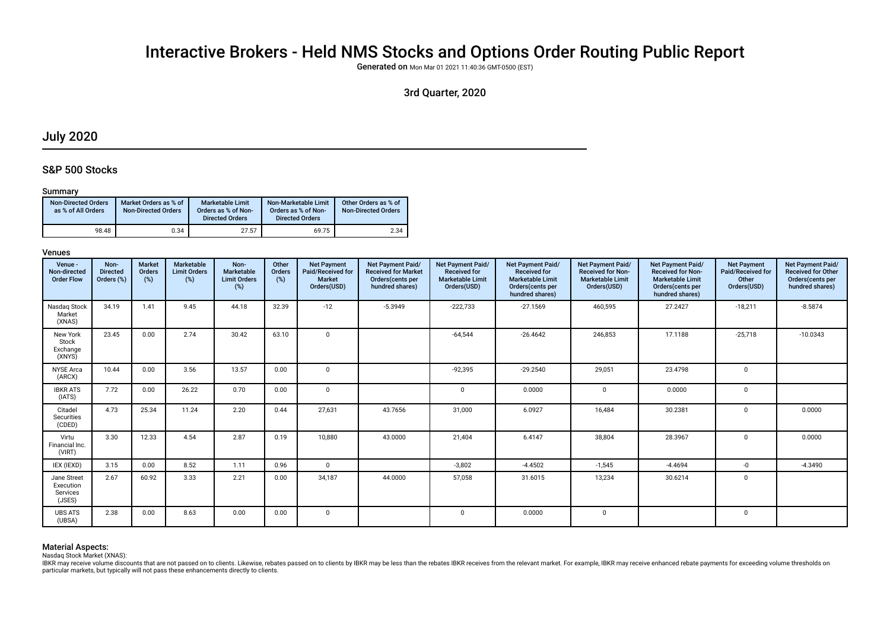# Interactive Brokers - Held NMS Stocks and Options Order Routing Public Report

Generated on Mon Mar 01 2021 11:40:36 GMT-0500 (EST)

## 3rd Quarter, 2020

## July 2020

## S&P 500 Stocks

## Summary

| <b>Non-Directed Orders</b><br>as % of All Orders | Market Orders as % of<br><b>Non-Directed Orders</b> | <b>Marketable Limit</b><br>Orders as % of Non-<br><b>Directed Orders</b> | Non-Marketable Limit<br>Orders as % of Non-<br><b>Directed Orders</b> | Other Orders as % of<br><b>Non-Directed Orders</b> |
|--------------------------------------------------|-----------------------------------------------------|--------------------------------------------------------------------------|-----------------------------------------------------------------------|----------------------------------------------------|
| 98.48                                            | 0.34                                                | 27.57                                                                    | 69.75                                                                 | 2.34                                               |

### Venues

| Venue -<br>Non-directed<br><b>Order Flow</b>   | Non-<br><b>Directed</b><br>Orders (%) | <b>Market</b><br>Orders<br>(%) | Marketable<br><b>Limit Orders</b><br>(%) | Non-<br>Marketable<br><b>Limit Orders</b><br>(%) | Other<br>Orders<br>(%) | <b>Net Payment</b><br>Paid/Received for<br><b>Market</b><br>Orders(USD) | <b>Net Payment Paid/</b><br><b>Received for Market</b><br>Orders(cents per<br>hundred shares) | Net Payment Paid/<br><b>Received for</b><br><b>Marketable Limit</b><br>Orders(USD) | Net Payment Paid/<br><b>Received for</b><br><b>Marketable Limit</b><br>Orders (cents per<br>hundred shares) | Net Payment Paid/<br><b>Received for Non-</b><br><b>Marketable Limit</b><br>Orders(USD) | Net Payment Paid/<br><b>Received for Non-</b><br><b>Marketable Limit</b><br>Orders(cents per<br>hundred shares) | <b>Net Payment</b><br>Paid/Received for<br>Other<br>Orders(USD) | <b>Net Payment Paid/</b><br><b>Received for Other</b><br>Orders(cents per<br>hundred shares) |
|------------------------------------------------|---------------------------------------|--------------------------------|------------------------------------------|--------------------------------------------------|------------------------|-------------------------------------------------------------------------|-----------------------------------------------------------------------------------------------|------------------------------------------------------------------------------------|-------------------------------------------------------------------------------------------------------------|-----------------------------------------------------------------------------------------|-----------------------------------------------------------------------------------------------------------------|-----------------------------------------------------------------|----------------------------------------------------------------------------------------------|
| Nasdag Stock<br>Market<br>(XNAS)               | 34.19                                 | 1.41                           | 9.45                                     | 44.18                                            | 32.39                  | $-12$                                                                   | $-5.3949$                                                                                     | $-222,733$                                                                         | $-27.1569$                                                                                                  | 460,595                                                                                 | 27.2427                                                                                                         | $-18,211$                                                       | $-8.5874$                                                                                    |
| New York<br>Stock<br>Exchange<br>(XNYS)        | 23.45                                 | 0.00                           | 2.74                                     | 30.42                                            | 63.10                  | $\mathbf 0$                                                             |                                                                                               | $-64,544$                                                                          | $-26.4642$                                                                                                  | 246,853                                                                                 | 17.1188                                                                                                         | $-25,718$                                                       | $-10.0343$                                                                                   |
| <b>NYSE Arca</b><br>(ARCX)                     | 10.44                                 | 0.00                           | 3.56                                     | 13.57                                            | 0.00                   | $\overline{0}$                                                          |                                                                                               | $-92,395$                                                                          | $-29.2540$                                                                                                  | 29,051                                                                                  | 23.4798                                                                                                         | $\mathbf 0$                                                     |                                                                                              |
| <b>IBKR ATS</b><br>(IATS)                      | 7.72                                  | 0.00                           | 26.22                                    | 0.70                                             | 0.00                   | $\mathbf 0$                                                             |                                                                                               |                                                                                    | 0.0000                                                                                                      | $\mathbf{0}$                                                                            | 0.0000                                                                                                          | $\Omega$                                                        |                                                                                              |
| Citadel<br>Securities<br>(CDED)                | 4.73                                  | 25.34                          | 11.24                                    | 2.20                                             | 0.44                   | 27,631                                                                  | 43.7656                                                                                       | 31,000                                                                             | 6.0927                                                                                                      | 16,484                                                                                  | 30.2381                                                                                                         | $\Omega$                                                        | 0.0000                                                                                       |
| Virtu<br>Financial Inc.<br>(VIRT)              | 3.30                                  | 12.33                          | 4.54                                     | 2.87                                             | 0.19                   | 10,880                                                                  | 43.0000                                                                                       | 21,404                                                                             | 6.4147                                                                                                      | 38,804                                                                                  | 28.3967                                                                                                         | $\Omega$                                                        | 0.0000                                                                                       |
| IEX (IEXD)                                     | 3.15                                  | 0.00                           | 8.52                                     | 1.11                                             | 0.96                   | $\mathbf 0$                                                             |                                                                                               | $-3,802$                                                                           | $-4.4502$                                                                                                   | $-1,545$                                                                                | $-4.4694$                                                                                                       | $-0$                                                            | $-4.3490$                                                                                    |
| Jane Street<br>Execution<br>Services<br>(JSES) | 2.67                                  | 60.92                          | 3.33                                     | 2.21                                             | 0.00                   | 34,187                                                                  | 44.0000                                                                                       | 57,058                                                                             | 31.6015                                                                                                     | 13,234                                                                                  | 30.6214                                                                                                         | $\mathbf 0$                                                     |                                                                                              |
| <b>UBS ATS</b><br>(UBSA)                       | 2.38                                  | 0.00                           | 8.63                                     | 0.00                                             | 0.00                   | $\overline{0}$                                                          |                                                                                               | 0                                                                                  | 0.0000                                                                                                      | $\mathbf{0}$                                                                            |                                                                                                                 | $\mathbf 0$                                                     |                                                                                              |

## Material Aspects:

Nasdaq Stock Market (XNAS):

IBKR may receive volume discounts that are not passed on to clients. Likewise, rebates passed on to clients by IBKR may be less than the rebates IBKR receives from the relevant market. For example, IBKR may receive enhance particular markets, but typically will not pass these enhancements directly to clients.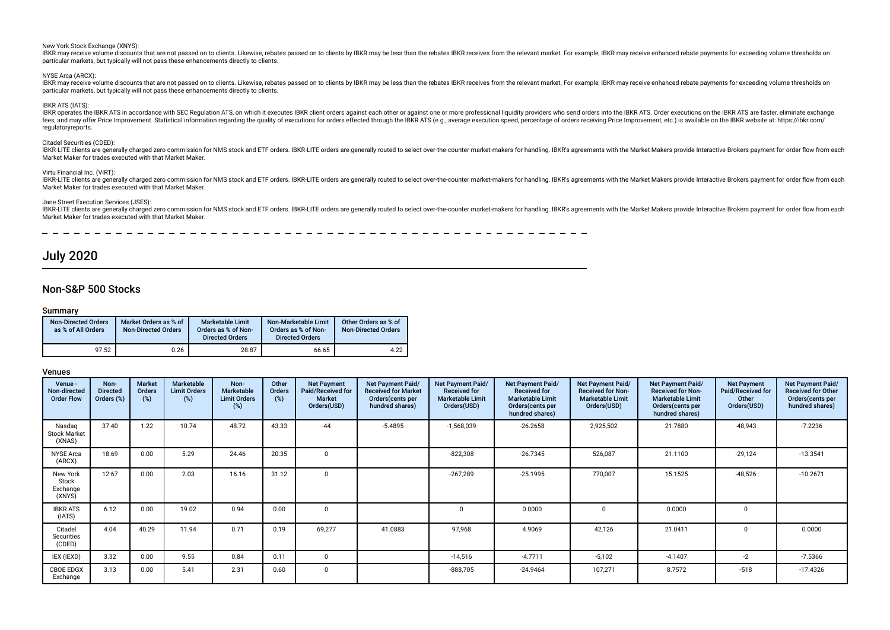#### New York Stock Exchange (XNYS):

IBKR may receive volume discounts that are not passed on to clients. Likewise, rebates passed on to clients by IBKR may be less than the rebates IBKR receives from the relevant market. For example, IBKR may receive enhance particular markets, but typically will not pass these enhancements directly to clients.

NYSE Arca (ARCX):

IBKR may receive volume discounts that are not passed on to clients. Likewise, rebates passed on to clients by IBKR may be less than the rebates IBKR receives from the relevant market. For example, IBKR may receive enhance particular markets, but typically will not pass these enhancements directly to clients.

#### IBKR ATS (IATS):

IBKR operates the IBKR ATS in accordance with SEC Regulation ATS, on which it executes IBKR client orders against each other or against one or more professional liquidity providers who send orders into the IBKR ATS. Order fees, and may offer Price Improvement. Statistical information regarding the quality of executions for orders effected through the IBKR ATS (e.g., average execution speed, percentage of orders receiving Price Improvement, regulatoryreports.

#### Citadel Securities (CDED):

IBKR-LITE clients are generally charged zero commission for NMS stock and ETF orders. IBKR-LITE orders are generally routed to select over-the-counter market-makers for handling. IBKR's agreements with the Market Makers pr Market Maker for trades executed with that Market Maker.

#### Virtu Financial Inc. (VIRT):

IBKR-LITE clients are generally charged zero commission for NMS stock and ETF orders. IBKR-LITE orders are generally routed to select over-the-counter market-makers for handling. IBKR's agreements with the Market Makers pr Market Maker for trades executed with that Market Maker.

#### Jane Street Execution Services (JSES):

IBKR-LITE clients are generally charged zero commission for NMS stock and ETF orders. IBKR-LITE orders are generally routed to select over-the-counter market-makers for handling. IBKR's agreements with the Market Makers pr Market Maker for trades executed with that Market Maker.

## July 2020

## Non-S&P 500 Stocks

### Summary

| <b>Non-Directed Orders</b><br>as % of All Orders | Market Orders as % of<br><b>Non-Directed Orders</b> | <b>Marketable Limit</b><br>Orders as % of Non-<br><b>Directed Orders</b> | Non-Marketable Limit<br>Orders as % of Non-<br><b>Directed Orders</b> | Other Orders as % of<br><b>Non-Directed Orders</b> |
|--------------------------------------------------|-----------------------------------------------------|--------------------------------------------------------------------------|-----------------------------------------------------------------------|----------------------------------------------------|
| 97.52                                            | 0.26                                                | 28.87                                                                    | 66.65                                                                 | 4.22                                               |

| Venue -<br>Non-directed<br><b>Order Flow</b> | Non-<br><b>Directed</b><br>Orders (%) | <b>Market</b><br>Orders<br>(%) | Marketable<br><b>Limit Orders</b><br>(%) | Non-<br>Marketable<br><b>Limit Orders</b><br>$(\%)$ | Other<br>Orders<br>(%) | <b>Net Payment</b><br>Paid/Received for<br><b>Market</b><br>Orders(USD) | Net Payment Paid/<br><b>Received for Market</b><br>Orders(cents per<br>hundred shares) | Net Payment Paid/<br><b>Received for</b><br><b>Marketable Limit</b><br>Orders(USD) | Net Payment Paid/<br><b>Received for</b><br><b>Marketable Limit</b><br>Orders (cents per<br>hundred shares) | Net Payment Paid/<br><b>Received for Non-</b><br><b>Marketable Limit</b><br>Orders(USD) | Net Payment Paid/<br><b>Received for Non-</b><br><b>Marketable Limit</b><br>Orders(cents per<br>hundred shares) | <b>Net Payment</b><br>Paid/Received for<br>Other<br>Orders(USD) | Net Payment Paid/<br><b>Received for Other</b><br>Orders(cents per<br>hundred shares) |
|----------------------------------------------|---------------------------------------|--------------------------------|------------------------------------------|-----------------------------------------------------|------------------------|-------------------------------------------------------------------------|----------------------------------------------------------------------------------------|------------------------------------------------------------------------------------|-------------------------------------------------------------------------------------------------------------|-----------------------------------------------------------------------------------------|-----------------------------------------------------------------------------------------------------------------|-----------------------------------------------------------------|---------------------------------------------------------------------------------------|
| Nasdag<br><b>Stock Market</b><br>(XNAS)      | 37.40                                 | 1.22                           | 10.74                                    | 48.72                                               | 43.33                  | $-44$                                                                   | $-5.4895$                                                                              | -1,568,039                                                                         | $-26.2658$                                                                                                  | 2,925,502                                                                               | 21.7880                                                                                                         | -48,943                                                         | $-7.2236$                                                                             |
| <b>NYSE Arca</b><br>(ARCX)                   | 18.69                                 | 0.00                           | 5.29                                     | 24.46                                               | 20.35                  | $\Omega$                                                                |                                                                                        | $-822,308$                                                                         | $-26.7345$                                                                                                  | 526,087                                                                                 | 21.1100                                                                                                         | $-29,124$                                                       | $-13.3541$                                                                            |
| New York<br>Stock<br>Exchange<br>(XNYS)      | 12.67                                 | 0.00                           | 2.03                                     | 16.16                                               | 31.12                  | $\mathbf 0$                                                             |                                                                                        | $-267,289$                                                                         | $-25.1995$                                                                                                  | 770,007                                                                                 | 15.1525                                                                                                         | $-48,526$                                                       | $-10.2671$                                                                            |
| <b>IBKR ATS</b><br>(IATS)                    | 6.12                                  | 0.00                           | 19.02                                    | 0.94                                                | 0.00                   | $\mathbf 0$                                                             |                                                                                        |                                                                                    | 0.0000                                                                                                      | $\Omega$                                                                                | 0.0000                                                                                                          | $\Omega$                                                        |                                                                                       |
| Citadel<br>Securities<br>(CDED)              | 4.04                                  | 40.29                          | 11.94                                    | 0.71                                                | 0.19                   | 69,277                                                                  | 41.0883                                                                                | 97,968                                                                             | 4.9069                                                                                                      | 42,126                                                                                  | 21.0411                                                                                                         | $\Omega$                                                        | 0.0000                                                                                |
| IEX (IEXD)                                   | 3.32                                  | 0.00                           | 9.55                                     | 0.84                                                | 0.11                   | $\Omega$                                                                |                                                                                        | $-14,516$                                                                          | $-4.7711$                                                                                                   | $-5,102$                                                                                | $-4.1407$                                                                                                       | $-2$                                                            | $-7.5366$                                                                             |
| <b>CBOE EDGX</b><br>Exchange                 | 3.13                                  | 0.00                           | 5.41                                     | 2.31                                                | 0.60                   | $\mathbf 0$                                                             |                                                                                        | $-888,705$                                                                         | $-24.9464$                                                                                                  | 107,271                                                                                 | 8.7572                                                                                                          | $-518$                                                          | $-17.4326$                                                                            |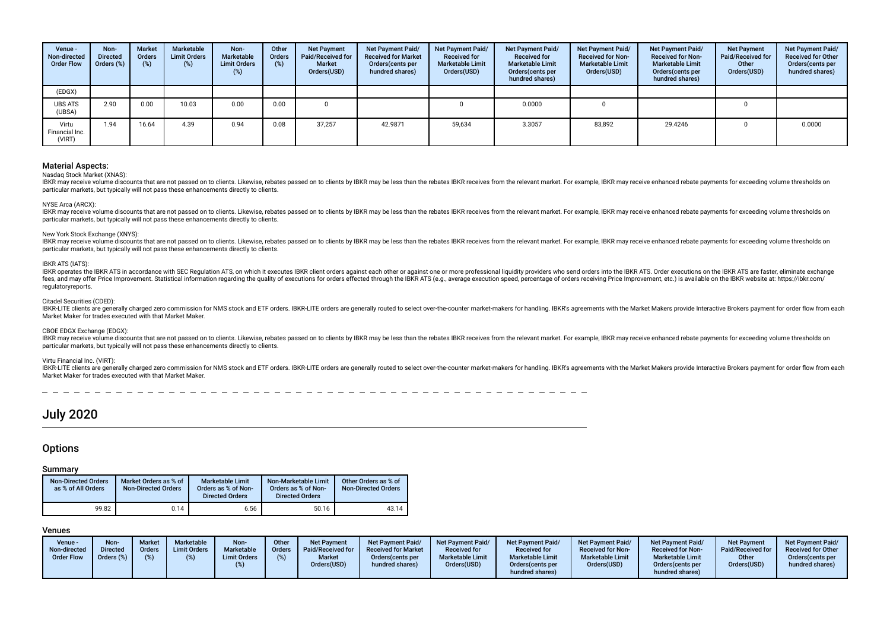| Venue -<br>Non-directed<br><b>Order Flow</b> | Non-<br><b>Directed</b><br>Orders (%) | <b>Market</b><br>Orders<br>(%) | Marketable<br><b>Limit Orders</b><br>$(\%)$ | Non-<br>Marketable<br><b>Limit Orders</b><br>$(\%)$ | Other<br><b>Orders</b><br>$(\%)$ | <b>Net Payment</b><br>Paid/Received for<br><b>Market</b><br>Orders(USD) | Net Payment Paid/<br><b>Received for Market</b><br>Orders(cents per<br>hundred shares) | Net Payment Paid/<br><b>Received for</b><br><b>Marketable Limit</b><br>Orders(USD) | Net Payment Paid/<br><b>Received for</b><br><b>Marketable Limit</b><br>Orders (cents per<br>hundred shares) | Net Payment Paid/<br><b>Received for Non-</b><br><b>Marketable Limit</b><br>Orders(USD) | Net Payment Paid/<br><b>Received for Non-</b><br><b>Marketable Limit</b><br>Orders (cents per<br>hundred shares) | <b>Net Payment</b><br>Paid/Received for<br>Other<br>Orders(USD) | Net Payment Paid/<br><b>Received for Other</b><br>Orders(cents per<br>hundred shares) |
|----------------------------------------------|---------------------------------------|--------------------------------|---------------------------------------------|-----------------------------------------------------|----------------------------------|-------------------------------------------------------------------------|----------------------------------------------------------------------------------------|------------------------------------------------------------------------------------|-------------------------------------------------------------------------------------------------------------|-----------------------------------------------------------------------------------------|------------------------------------------------------------------------------------------------------------------|-----------------------------------------------------------------|---------------------------------------------------------------------------------------|
| (EDGX)                                       |                                       |                                |                                             |                                                     |                                  |                                                                         |                                                                                        |                                                                                    |                                                                                                             |                                                                                         |                                                                                                                  |                                                                 |                                                                                       |
| <b>UBS ATS</b><br>(UBSA)                     | 2.90                                  | 0.00                           | 10.03                                       | 0.00                                                | 0.00                             |                                                                         |                                                                                        |                                                                                    | 0.0000                                                                                                      |                                                                                         |                                                                                                                  |                                                                 |                                                                                       |
| Virtu<br>Financial Inc.<br>(VIRT)            | 1.94                                  | 16.64                          | 4.39                                        | 0.94                                                | 0.08                             | 37,257                                                                  | 42.9871                                                                                | 59,634                                                                             | 3.3057                                                                                                      | 83,892                                                                                  | 29.4246                                                                                                          |                                                                 | 0.0000                                                                                |

#### Nasdaq Stock Market (XNAS):

IBKR may receive volume discounts that are not passed on to clients. Likewise, rebates passed on to clients by IBKR may be less than the rebates IBKR receives from the relevant market. For example, IBKR may receive enhance particular markets, but typically will not pass these enhancements directly to clients.

#### NYSE Arca (ARCX):

IBKR may receive volume discounts that are not passed on to clients. Likewise, rebates passed on to clients by IBKR may be less than the rebates IBKR receives from the relevant market. For example, IBKR may receive enhance particular markets, but typically will not pass these enhancements directly to clients.

#### New York Stock Exchange (XNYS):

IBKR may receive volume discounts that are not passed on to clients. Likewise, rebates passed on to clients by IBKR may be less than the rebates IBKR receives from the relevant market. For example, IBKR may receive enhance particular markets, but typically will not pass these enhancements directly to clients.

#### IBKR ATS (IATS):

IBKR operates the IBKR ATS in accordance with SEC Regulation ATS, on which it executes IBKR client orders against each other or against one or more professional liquidity providers who send orders into the IBKR ATS. Order fees, and may offer Price Improvement, Statistical information regarding the quality of executions for orders effected through the IBKR ATS (e.g., average execution speed, percentage of orders receiving Price Improvement, regulatoryreports.

#### Citadel Securities (CDED):

IBKR-LITE clients are generally charged zero commission for NMS stock and ETF orders. IBKR-LITE orders are generally routed to select over-the-counter market-makers for handling. IBKR's agreements with the Market Makers pr Market Maker for trades executed with that Market Maker.

#### CBOE EDGX Exchange (EDGX):

IBKR may receive volume discounts that are not passed on to clients. Likewise, rebates passed on to clients by IBKR may be less than the rebates IBKR receives from the relevant market. For example, IBKR may receive enhance particular markets, but typically will not pass these enhancements directly to clients.

#### Virtu Financial Inc. (VIRT):

IBKR-LITE clients are generally charged zero commission for NMS stock and ETF orders. IBKR-LITE orders are generally routed to select over-the-counter market-makers for handling. IBKR's agreements with the Market Makers pr Market Maker for trades executed with that Market Maker.

## July 2020

## **Options**

## Summary

| <b>Non-Directed Orders</b><br>as % of All Orders | Market Orders as % of<br><b>Non-Directed Orders</b> | Marketable Limit<br>Orders as % of Non-<br><b>Directed Orders</b> | Non-Marketable Limit<br>Orders as % of Non-<br><b>Directed Orders</b> | Other Orders as % of<br><b>Non-Directed Orders</b> |
|--------------------------------------------------|-----------------------------------------------------|-------------------------------------------------------------------|-----------------------------------------------------------------------|----------------------------------------------------|
| 99.82                                            | 0.14                                                | 6.56                                                              | 50.16                                                                 | 43.14                                              |

| Venue -<br>Non-directed<br><b>Order Flow</b> | Non-<br><b>Directed</b><br>Orders (%) | <b>Market</b><br><b>Orders</b> | Marketable<br><b>Limit Orders</b> | Non-<br>Marketable<br><b>Limit Orders</b> | Other<br><b>Orders</b><br>(%) | <b>Net Payment</b><br>Paid/Received for<br><b>Market</b><br>Orders(USD) | Net Payment Paid/<br><b>Received for Market</b><br>Orders(cents per<br>hundred shares) | <b>Net Payment Paid/</b><br><b>Received for</b><br><b>Marketable Limit</b><br>Orders(USD) | Net Payment Paid/<br><b>Received for</b><br><b>Marketable Limit</b><br>Orders (cents per<br>hundred shares) | <b>Net Payment Paid/</b><br><b>Received for Non-</b><br><b>Marketable Limit</b><br>Orders(USD) | <b>Net Payment Paid/</b><br><b>Received for Non-</b><br><b>Marketable Limit</b><br>Orders (cents per<br>hundred shares) | Net Payment<br><b>Paid/Received for</b><br>Other<br>Orders(USD) | <b>Net Payment Paid/</b><br><b>Received for Other</b><br>Orders(cents per<br>hundred shares) |
|----------------------------------------------|---------------------------------------|--------------------------------|-----------------------------------|-------------------------------------------|-------------------------------|-------------------------------------------------------------------------|----------------------------------------------------------------------------------------|-------------------------------------------------------------------------------------------|-------------------------------------------------------------------------------------------------------------|------------------------------------------------------------------------------------------------|-------------------------------------------------------------------------------------------------------------------------|-----------------------------------------------------------------|----------------------------------------------------------------------------------------------|
|----------------------------------------------|---------------------------------------|--------------------------------|-----------------------------------|-------------------------------------------|-------------------------------|-------------------------------------------------------------------------|----------------------------------------------------------------------------------------|-------------------------------------------------------------------------------------------|-------------------------------------------------------------------------------------------------------------|------------------------------------------------------------------------------------------------|-------------------------------------------------------------------------------------------------------------------------|-----------------------------------------------------------------|----------------------------------------------------------------------------------------------|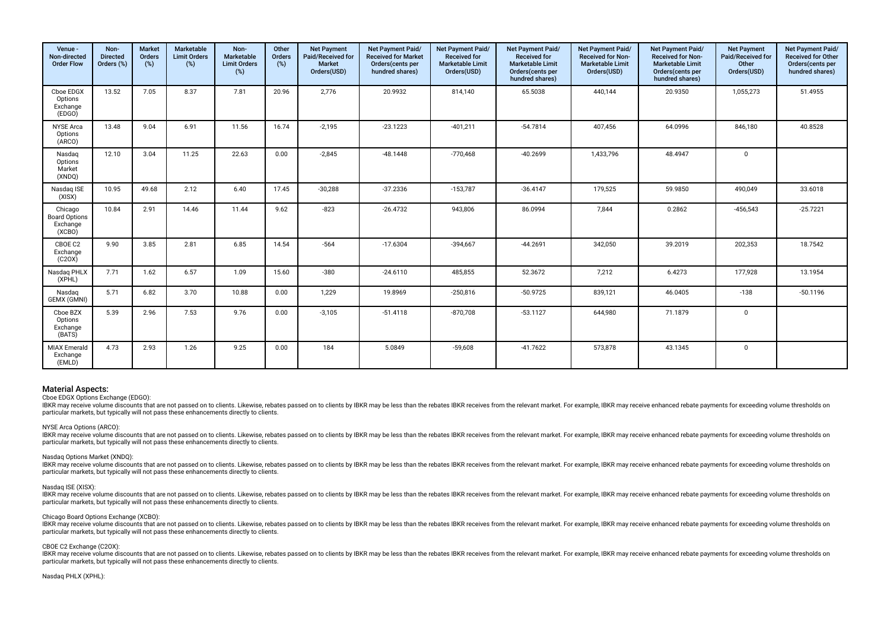| Venue -<br>Non-directed<br><b>Order Flow</b>          | Non-<br><b>Directed</b><br>Orders (%) | <b>Market</b><br>Orders<br>(%) | Marketable<br><b>Limit Orders</b><br>(%) | Non-<br>Marketable<br><b>Limit Orders</b><br>(%) | Other<br>Orders<br>(%) | <b>Net Payment</b><br>Paid/Received for<br>Market<br>Orders(USD) | Net Payment Paid/<br><b>Received for Market</b><br>Orders(cents per<br>hundred shares) | Net Payment Paid/<br><b>Received for</b><br><b>Marketable Limit</b><br>Orders(USD) | Net Payment Paid/<br><b>Received for</b><br><b>Marketable Limit</b><br>Orders(cents per<br>hundred shares) | Net Payment Paid/<br><b>Received for Non-</b><br><b>Marketable Limit</b><br>Orders(USD) | Net Payment Paid/<br><b>Received for Non-</b><br><b>Marketable Limit</b><br>Orders(cents per<br>hundred shares) | <b>Net Payment</b><br>Paid/Received for<br>Other<br>Orders(USD) | Net Payment Paid/<br>Received for Other<br>Orders(cents per<br>hundred shares) |
|-------------------------------------------------------|---------------------------------------|--------------------------------|------------------------------------------|--------------------------------------------------|------------------------|------------------------------------------------------------------|----------------------------------------------------------------------------------------|------------------------------------------------------------------------------------|------------------------------------------------------------------------------------------------------------|-----------------------------------------------------------------------------------------|-----------------------------------------------------------------------------------------------------------------|-----------------------------------------------------------------|--------------------------------------------------------------------------------|
| Cboe EDGX<br>Options<br>Exchange<br>(EDGO)            | 13.52                                 | 7.05                           | 8.37                                     | 7.81                                             | 20.96                  | 2,776                                                            | 20.9932                                                                                | 814,140                                                                            | 65.5038                                                                                                    | 440,144                                                                                 | 20.9350                                                                                                         | 1,055,273                                                       | 51.4955                                                                        |
| <b>NYSE Arca</b><br>Options<br>(ARCO)                 | 13.48                                 | 9.04                           | 6.91                                     | 11.56                                            | 16.74                  | $-2,195$                                                         | $-23.1223$                                                                             | $-401,211$                                                                         | $-54.7814$                                                                                                 | 407,456                                                                                 | 64.0996                                                                                                         | 846,180                                                         | 40.8528                                                                        |
| Nasdag<br>Options<br>Market<br>(XNDQ)                 | 12.10                                 | 3.04                           | 11.25                                    | 22.63                                            | 0.00                   | $-2,845$                                                         | $-48.1448$                                                                             | $-770,468$                                                                         | $-40.2699$                                                                                                 | 1,433,796                                                                               | 48.4947                                                                                                         | $\mathbf 0$                                                     |                                                                                |
| Nasdag ISE<br>(XISX)                                  | 10.95                                 | 49.68                          | 2.12                                     | 6.40                                             | 17.45                  | $-30.288$                                                        | $-37.2336$                                                                             | $-153,787$                                                                         | $-36.4147$                                                                                                 | 179,525                                                                                 | 59.9850                                                                                                         | 490,049                                                         | 33.6018                                                                        |
| Chicago<br><b>Board Options</b><br>Exchange<br>(XCBO) | 10.84                                 | 2.91                           | 14.46                                    | 11.44                                            | 9.62                   | $-823$                                                           | $-26.4732$                                                                             | 943,806                                                                            | 86.0994                                                                                                    | 7,844                                                                                   | 0.2862                                                                                                          | $-456,543$                                                      | $-25.7221$                                                                     |
| CBOE C2<br>Exchange<br>(C20X)                         | 9.90                                  | 3.85                           | 2.81                                     | 6.85                                             | 14.54                  | $-564$                                                           | $-17.6304$                                                                             | $-394,667$                                                                         | $-44.2691$                                                                                                 | 342,050                                                                                 | 39.2019                                                                                                         | 202,353                                                         | 18.7542                                                                        |
| Nasdag PHLX<br>(XPHL)                                 | 7.71                                  | 1.62                           | 6.57                                     | 1.09                                             | 15.60                  | $-380$                                                           | $-24.6110$                                                                             | 485,855                                                                            | 52.3672                                                                                                    | 7,212                                                                                   | 6.4273                                                                                                          | 177,928                                                         | 13.1954                                                                        |
| Nasdag<br>GEMX (GMNI)                                 | 5.71                                  | 6.82                           | 3.70                                     | 10.88                                            | 0.00                   | 1,229                                                            | 19.8969                                                                                | $-250,816$                                                                         | $-50.9725$                                                                                                 | 839,121                                                                                 | 46.0405                                                                                                         | $-138$                                                          | $-50.1196$                                                                     |
| Cboe BZX<br>Options<br>Exchange<br>(BATS)             | 5.39                                  | 2.96                           | 7.53                                     | 9.76                                             | 0.00                   | $-3,105$                                                         | $-51.4118$                                                                             | $-870,708$                                                                         | $-53.1127$                                                                                                 | 644,980                                                                                 | 71.1879                                                                                                         | $\mathbf 0$                                                     |                                                                                |
| <b>MIAX Emerald</b><br>Exchange<br>(EMLD)             | 4.73                                  | 2.93                           | 1.26                                     | 9.25                                             | 0.00                   | 184                                                              | 5.0849                                                                                 | $-59,608$                                                                          | $-41.7622$                                                                                                 | 573,878                                                                                 | 43.1345                                                                                                         | $\mathbf 0$                                                     |                                                                                |

#### Choe EDGX Options Exchange (EDGO):

IBKR may receive volume discounts that are not passed on to clients. Likewise, rebates passed on to clients by IBKR may be less than the rebates IBKR receives from the relevant market. For example, IBKR may receive enhance particular markets, but typically will not pass these enhancements directly to clients.

#### NYSE Arca Options (ARCO):

IBKR may receive yolume discounts that are not passed on to clients. Likewise, rebates passed on to clients by IBKR may be less than the rebates IBKR receives from the relevant market. For example, IBKR may receive enhance particular markets, but typically will not pass these enhancements directly to clients.

#### Nasdaq Options Market (XNDQ):

IBKR may receive volume discounts that are not passed on to clients. Likewise, rebates passed on to clients by IBKR may be less than the rebates IBKR receives from the relevant market. For example, IBKR may receive enhance particular markets, but typically will not pass these enhancements directly to clients.

#### Nasdaq ISE (XISX):

IBKR may receive volume discounts that are not passed on to clients. Likewise, rebates passed on to clients by IBKR may be less than the rebates IBKR receives from the relevant market. For example, IBKR may receive enhance particular markets, but typically will not pass these enhancements directly to clients.

#### Chicago Board Options Exchange (XCBO):

IBKR may receive volume discounts that are not passed on to clients. Likewise, rebates passed on to clients by IBKR may be less than the rebates IBKR receives from the relevant market. For example, IBKR may receive enhance particular markets, but typically will not pass these enhancements directly to clients.

#### CBOE C2 Exchange (C2OX):

IBKR may receive yolume discounts that are not passed on to clients. Likewise, rebates passed on to clients by IBKR may be less than the rebates IBKR receives from the relevant market. For example, IBKR may receive enhance particular markets, but typically will not pass these enhancements directly to clients.

#### Nasdaq PHLX (XPHL):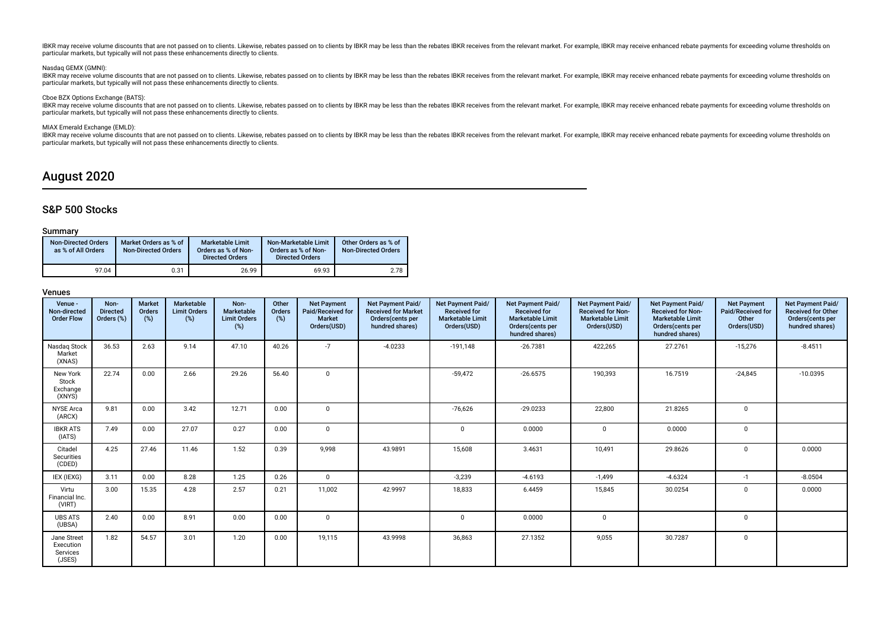IBKR may receive volume discounts that are not passed on to clients. Likewise, rebates passed on to clients by IBKR may be less than the rebates IBKR receives from the relevant market. For example, IBKR may receive enhance particular markets, but typically will not pass these enhancements directly to clients.

#### Nasdaq GEMX (GMNI):

IBKR may receive volume discounts that are not passed on to clients. Likewise, rebates passed on to clients by IBKR may be less than the rebates IBKR receives from the relevant market. For example, IBKR may receive enhance particular markets, but typically will not pass these enhancements directly to clients.

#### Cboe BZX Options Exchange (BATS):

IBKR may receive volume discounts that are not passed on to clients. Likewise, rebates passed on to clients by IBKR may be less than the rebates IBKR receives from the relevant market. For example, IBKR may receive enhance particular markets, but typically will not pass these enhancements directly to clients.

#### MIAX Emerald Exchange (EMLD):

IBKR may receive volume discounts that are not passed on to clients. Likewise, rebates passed on to clients by IBKR may be less than the rebates IBKR receives from the relevant market. For example, IBKR may receive enhance particular markets, but typically will not pass these enhancements directly to clients.

## August 2020

## S&P 500 Stocks

### Summary

| <b>Non-Directed Orders</b><br>as % of All Orders | Market Orders as % of<br><b>Non-Directed Orders</b> | <b>Marketable Limit</b><br>Orders as % of Non-<br><b>Directed Orders</b> | Non-Marketable Limit<br>Orders as % of Non-<br><b>Directed Orders</b> | Other Orders as % of<br><b>Non-Directed Orders</b> |
|--------------------------------------------------|-----------------------------------------------------|--------------------------------------------------------------------------|-----------------------------------------------------------------------|----------------------------------------------------|
| 97.04                                            | 0.31                                                | 26.99                                                                    | 69.93                                                                 | 2.78                                               |

| Venue -<br>Non-directed<br><b>Order Flow</b>   | Non-<br><b>Directed</b><br>Orders (%) | <b>Market</b><br>Orders<br>(%) | Marketable<br><b>Limit Orders</b><br>(%) | Non-<br>Marketable<br><b>Limit Orders</b><br>(%) | Other<br>Orders<br>(%) | <b>Net Payment</b><br>Paid/Received for<br><b>Market</b><br>Orders(USD) | Net Payment Paid/<br><b>Received for Market</b><br>Orders(cents per<br>hundred shares) | Net Payment Paid/<br><b>Received for</b><br><b>Marketable Limit</b><br>Orders(USD) | Net Payment Paid/<br><b>Received for</b><br><b>Marketable Limit</b><br>Orders(cents per<br>hundred shares) | <b>Net Payment Paid/</b><br><b>Received for Non-</b><br><b>Marketable Limit</b><br>Orders(USD) | Net Payment Paid/<br><b>Received for Non-</b><br><b>Marketable Limit</b><br>Orders(cents per<br>hundred shares) | <b>Net Payment</b><br>Paid/Received for<br>Other<br>Orders(USD) | Net Payment Paid/<br><b>Received for Other</b><br>Orders(cents per<br>hundred shares) |
|------------------------------------------------|---------------------------------------|--------------------------------|------------------------------------------|--------------------------------------------------|------------------------|-------------------------------------------------------------------------|----------------------------------------------------------------------------------------|------------------------------------------------------------------------------------|------------------------------------------------------------------------------------------------------------|------------------------------------------------------------------------------------------------|-----------------------------------------------------------------------------------------------------------------|-----------------------------------------------------------------|---------------------------------------------------------------------------------------|
| Nasdag Stock<br>Market<br>(XNAS)               | 36.53                                 | 2.63                           | 9.14                                     | 47.10                                            | 40.26                  | $-7$                                                                    | $-4.0233$                                                                              | $-191,148$                                                                         | $-26.7381$                                                                                                 | 422,265                                                                                        | 27.2761                                                                                                         | $-15,276$                                                       | $-8.4511$                                                                             |
| New York<br>Stock<br>Exchange<br>(XNYS)        | 22.74                                 | 0.00                           | 2.66                                     | 29.26                                            | 56.40                  | 0                                                                       |                                                                                        | $-59,472$                                                                          | $-26.6575$                                                                                                 | 190,393                                                                                        | 16.7519                                                                                                         | $-24,845$                                                       | $-10.0395$                                                                            |
| <b>NYSE Arca</b><br>(ARCX)                     | 9.81                                  | 0.00                           | 3.42                                     | 12.71                                            | 0.00                   | $\mathbf 0$                                                             |                                                                                        | $-76,626$                                                                          | $-29.0233$                                                                                                 | 22,800                                                                                         | 21.8265                                                                                                         | $\mathbf 0$                                                     |                                                                                       |
| <b>IBKR ATS</b><br>(IATS)                      | 7.49                                  | 0.00                           | 27.07                                    | 0.27                                             | 0.00                   | $\mathbf 0$                                                             |                                                                                        | $\Omega$                                                                           | 0.0000                                                                                                     | $\mathbf{0}$                                                                                   | 0.0000                                                                                                          | $\Omega$                                                        |                                                                                       |
| Citadel<br>Securities<br>(CDED)                | 4.25                                  | 27.46                          | 11.46                                    | 1.52                                             | 0.39                   | 9,998                                                                   | 43.9891                                                                                | 15,608                                                                             | 3.4631                                                                                                     | 10,491                                                                                         | 29.8626                                                                                                         | $\Omega$                                                        | 0.0000                                                                                |
| IEX (IEXG)                                     | 3.11                                  | 0.00                           | 8.28                                     | 1.25                                             | 0.26                   | $\mathbf{0}$                                                            |                                                                                        | $-3,239$                                                                           | $-4.6193$                                                                                                  | $-1,499$                                                                                       | $-4.6324$                                                                                                       | $-1$                                                            | $-8.0504$                                                                             |
| Virtu<br>Financial Inc.<br>(VIRT)              | 3.00                                  | 15.35                          | 4.28                                     | 2.57                                             | 0.21                   | 11,002                                                                  | 42.9997                                                                                | 18,833                                                                             | 6.4459                                                                                                     | 15,845                                                                                         | 30.0254                                                                                                         | $\Omega$                                                        | 0.0000                                                                                |
| <b>UBS ATS</b><br>(UBSA)                       | 2.40                                  | 0.00                           | 8.91                                     | 0.00                                             | 0.00                   | 0                                                                       |                                                                                        | $\Omega$                                                                           | 0.0000                                                                                                     | $\mathbf 0$                                                                                    |                                                                                                                 | $\Omega$                                                        |                                                                                       |
| Jane Street<br>Execution<br>Services<br>(JSES) | 1.82                                  | 54.57                          | 3.01                                     | 1.20                                             | 0.00                   | 19,115                                                                  | 43.9998                                                                                | 36,863                                                                             | 27.1352                                                                                                    | 9,055                                                                                          | 30.7287                                                                                                         | $\Omega$                                                        |                                                                                       |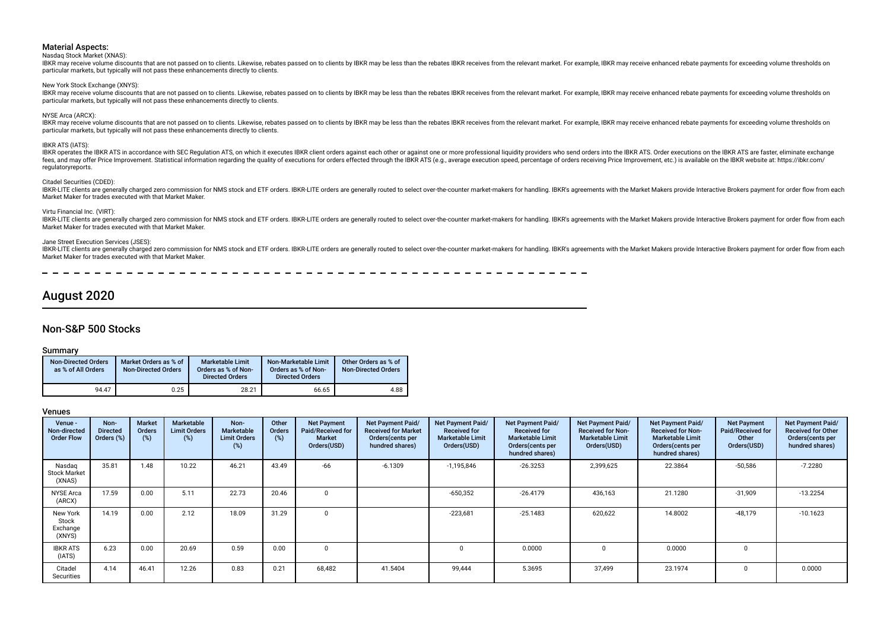#### Nasdaq Stock Market (XNAS):

IBKR may receive volume discounts that are not passed on to clients. Likewise, rebates passed on to clients by IBKR may be less than the rebates IBKR receives from the relevant market. For example, IBKR may receive enhance particular markets, but typically will not pass these enhancements directly to clients.

New York Stock Exchange (XNYS):

IBKR may receive volume discounts that are not passed on to clients. Likewise, rebates passed on to clients by IBKR may be less than the rebates IBKR receives from the relevant market. For example, IBKR may receive enhance particular markets, but typically will not pass these enhancements directly to clients.

#### NYSE Arca (ARCX):

IBKR may receive volume discounts that are not passed on to clients. Likewise, rebates passed on to clients by IBKR may be less than the rebates IBKR receives from the relevant market. For example, IBKR may receive enhance particular markets, but typically will not pass these enhancements directly to clients.

#### IBKR ATS (IATS):

IBKR operates the IBKR ATS in accordance with SEC Regulation ATS, on which it executes IBKR client orders against each other or against one or more professional liquidity providers who send orders into the IBKR ATS. Order fees, and may offer Price Improvement. Statistical information regarding the quality of executions for orders effected through the IBKR ATS (e.g., average execution speed, percentage of orders receiving Price Improvement, regulatoryreports.

#### Citadel Securities (CDED):

IBKR-LITE clients are generally charged zero commission for NMS stock and ETF orders. IBKR-LITE orders are generally routed to select over-the-counter market-makers for handling. IBKR's agreements with the Market Makers pr Market Maker for trades executed with that Market Maker.

#### Virtu Financial Inc. (VIRT):

IBKR-LITE clients are generally charged zero commission for NMS stock and ETF orders. IBKR-LITE orders are generally routed to select over-the-counter market-makers for handling. IBKR's agreements with the Market Makers pr Market Maker for trades executed with that Market Maker.

#### Jane Street Execution Services (JSES):

IBKR-LITE clients are generally charged zero commission for NMS stock and ETF orders. IBKR-LITE orders are generally routed to select over-the-counter market-makers for handling. IBKR's agreements with the Market Makers pr Market Maker for trades executed with that Market Maker.

---------

## August 2020

## Non-S&P 500 Stocks

#### Summary

| <b>Non-Directed Orders</b><br>as % of All Orders | Market Orders as % of<br><b>Non-Directed Orders</b> | <b>Marketable Limit</b><br>Orders as % of Non-<br><b>Directed Orders</b> | Non-Marketable Limit<br>Orders as % of Non-<br><b>Directed Orders</b> | Other Orders as % of<br><b>Non-Directed Orders</b> |
|--------------------------------------------------|-----------------------------------------------------|--------------------------------------------------------------------------|-----------------------------------------------------------------------|----------------------------------------------------|
| 94.47                                            | 0.25                                                | 28.21                                                                    | 66.65                                                                 | 4.88                                               |

| Venue -<br>Non-directed<br><b>Order Flow</b> | Non-<br><b>Directed</b><br>Orders (%) | <b>Market</b><br>Orders<br>(%) | <b>Marketable</b><br><b>Limit Orders</b><br>$(\%)$ | Non-<br><b>Marketable</b><br><b>Limit Orders</b><br>$(\%)$ | Other<br>Orders<br>(%) | <b>Net Payment</b><br>Paid/Received for<br>Market<br>Orders(USD) | Net Payment Paid/<br><b>Received for Market</b><br>Orders(cents per<br>hundred shares) | Net Payment Paid/<br><b>Received for</b><br><b>Marketable Limit</b><br>Orders(USD) | Net Payment Paid/<br><b>Received for</b><br><b>Marketable Limit</b><br>Orders (cents per<br>hundred shares) | Net Payment Paid/<br><b>Received for Non-</b><br><b>Marketable Limit</b><br>Orders(USD) | Net Payment Paid/<br><b>Received for Non-</b><br><b>Marketable Limit</b><br>Orders (cents per<br>hundred shares) | <b>Net Payment</b><br>Paid/Received for<br>Other<br>Orders(USD) | Net Payment Paid/<br><b>Received for Other</b><br>Orders(cents per<br>hundred shares) |
|----------------------------------------------|---------------------------------------|--------------------------------|----------------------------------------------------|------------------------------------------------------------|------------------------|------------------------------------------------------------------|----------------------------------------------------------------------------------------|------------------------------------------------------------------------------------|-------------------------------------------------------------------------------------------------------------|-----------------------------------------------------------------------------------------|------------------------------------------------------------------------------------------------------------------|-----------------------------------------------------------------|---------------------------------------------------------------------------------------|
| Nasdag<br><b>Stock Market</b><br>(XNAS)      | 35.81                                 | 1.48                           | 10.22                                              | 46.21                                                      | 43.49                  | $-66$                                                            | $-6.1309$                                                                              | $-1,195,846$                                                                       | $-26.3253$                                                                                                  | 2,399,625                                                                               | 22.3864                                                                                                          | $-50,586$                                                       | $-7.2280$                                                                             |
| <b>NYSE Arca</b><br>(ARCX)                   | 17.59                                 | 0.00                           | 5.11                                               | 22.73                                                      | 20.46                  | $\Omega$                                                         |                                                                                        | $-650,352$                                                                         | $-26.4179$                                                                                                  | 436,163                                                                                 | 21.1280                                                                                                          | $-31,909$                                                       | $-13.2254$                                                                            |
| New York<br>Stock<br>Exchange<br>(XNYS)      | 14.19                                 | 0.00                           | 2.12                                               | 18.09                                                      | 31.29                  | 0                                                                |                                                                                        | $-223,681$                                                                         | $-25.1483$                                                                                                  | 620,622                                                                                 | 14.8002                                                                                                          | $-48,179$                                                       | $-10.1623$                                                                            |
| <b>IBKR ATS</b><br>(IATS)                    | 6.23                                  | 0.00                           | 20.69                                              | 0.59                                                       | 0.00                   | 0                                                                |                                                                                        |                                                                                    | 0.0000                                                                                                      |                                                                                         | 0.0000                                                                                                           |                                                                 |                                                                                       |
| Citadel<br>Securities                        | 4.14                                  | 46.41                          | 12.26                                              | 0.83                                                       | 0.21                   | 68,482                                                           | 41.5404                                                                                | 99.444                                                                             | 5.3695                                                                                                      | 37,499                                                                                  | 23.1974                                                                                                          |                                                                 | 0.0000                                                                                |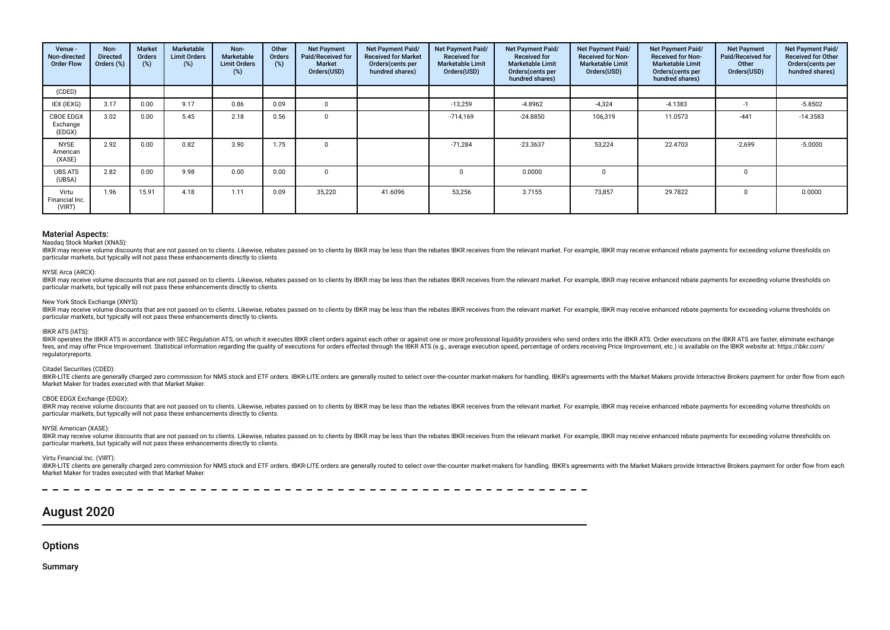| Venue -<br>Non-directed<br><b>Order Flow</b> | Non-<br><b>Directed</b><br>Orders (%) | <b>Market</b><br>Orders<br>(%) | Marketable<br><b>Limit Orders</b><br>(%) | Non-<br>Marketable<br><b>Limit Orders</b><br>(%) | Other<br>Orders<br>(%) | <b>Net Payment</b><br>Paid/Received for<br><b>Market</b><br>Orders(USD) | Net Payment Paid/<br><b>Received for Market</b><br>Orders(cents per<br>hundred shares) | <b>Net Payment Paid/</b><br><b>Received for</b><br><b>Marketable Limit</b><br>Orders(USD) | Net Payment Paid/<br><b>Received for</b><br><b>Marketable Limit</b><br>Orders(cents per<br>hundred shares) | Net Payment Paid/<br><b>Received for Non-</b><br><b>Marketable Limit</b><br>Orders(USD) | Net Payment Paid/<br><b>Received for Non-</b><br><b>Marketable Limit</b><br>Orders (cents per<br>hundred shares) | <b>Net Payment</b><br>Paid/Received for<br>Other<br>Orders(USD) | <b>Net Payment Paid/</b><br><b>Received for Other</b><br>Orders(cents per<br>hundred shares) |
|----------------------------------------------|---------------------------------------|--------------------------------|------------------------------------------|--------------------------------------------------|------------------------|-------------------------------------------------------------------------|----------------------------------------------------------------------------------------|-------------------------------------------------------------------------------------------|------------------------------------------------------------------------------------------------------------|-----------------------------------------------------------------------------------------|------------------------------------------------------------------------------------------------------------------|-----------------------------------------------------------------|----------------------------------------------------------------------------------------------|
| (CDED)                                       |                                       |                                |                                          |                                                  |                        |                                                                         |                                                                                        |                                                                                           |                                                                                                            |                                                                                         |                                                                                                                  |                                                                 |                                                                                              |
| IEX (IEXG)                                   | 3.17                                  | 0.00                           | 9.17                                     | 0.86                                             | 0.09                   | 0                                                                       |                                                                                        | $-13,259$                                                                                 | $-4.8962$                                                                                                  | $-4,324$                                                                                | $-4.1383$                                                                                                        | $-1$                                                            | $-5.8502$                                                                                    |
| <b>CBOE EDGX</b><br>Exchange<br>(EDGX)       | 3.02                                  | 0.00                           | 5.45                                     | 2.18                                             | 0.56                   | $\mathbf 0$                                                             |                                                                                        | $-714,169$                                                                                | $-24.8850$                                                                                                 | 106,319                                                                                 | 11.0573                                                                                                          | $-441$                                                          | $-14.3583$                                                                                   |
| <b>NYSE</b><br>American<br>(XASE)            | 2.92                                  | 0.00                           | 0.82                                     | 3.90                                             | 1.75                   | $\mathbf 0$                                                             |                                                                                        | $-71,284$                                                                                 | $-23.3637$                                                                                                 | 53,224                                                                                  | 22.4703                                                                                                          | $-2,699$                                                        | $-5.0000$                                                                                    |
| <b>UBS ATS</b><br>(UBSA)                     | 2.82                                  | 0.00                           | 9.98                                     | 0.00                                             | 0.00                   | $\mathbf 0$                                                             |                                                                                        |                                                                                           | 0.0000                                                                                                     |                                                                                         |                                                                                                                  | $\Omega$                                                        |                                                                                              |
| Virtu<br>Financial Inc.<br>(VIRT)            | 1.96                                  | 15.91                          | 4.18                                     | 1.11                                             | 0.09                   | 35,220                                                                  | 41.6096                                                                                | 53,256                                                                                    | 3.7155                                                                                                     | 73,857                                                                                  | 29.7822                                                                                                          |                                                                 | 0.0000                                                                                       |

#### Nasdaq Stock Market (XNAS):

IBKR may receive volume discounts that are not passed on to clients. Likewise, rebates passed on to clients by IBKR may be less than the rebates IBKR receives from the relevant market. For example, IBKR may receive enhance particular markets, but typically will not pass these enhancements directly to clients.

#### NYSE Arca (ARCX):

IBKR may receive volume discounts that are not passed on to clients. Likewise, rebates passed on to clients by IBKR may be less than the rebates IBKR receives from the relevant market. For example, IBKR may receive enhance particular markets, but typically will not pass these enhancements directly to clients.

#### New York Stock Exchange (XNYS):

IBKR may receive volume discounts that are not passed on to clients. Likewise, rebates passed on to clients by IBKR may be less than the rebates IBKR receives from the relevant market. For example, IBKR may receive enhance particular markets, but typically will not pass these enhancements directly to clients.

#### IBKR ATS (IATS):

IBKR operates the IBKR ATS in accordance with SEC Regulation ATS, on which it executes IBKR client orders against each other or against one or more professional liquidity providers who send orders into the IBKR ATS. Order fees, and may offer Price Improvement. Statistical information regarding the quality of executions for orders effected through the IBKR ATS (e.g., average execution speed, percentage of orders receiving Price Improvement, regulatoryreports.

#### Citadel Securities (CDED):

IBKR-LITE clients are generally charged zero commission for NMS stock and ETF orders. IBKR-LITE orders are generally routed to select over-the-counter market-makers for handling. IBKR's agreements with the Market Makers pr Market Maker for trades executed with that Market Maker.

### CBOE EDGX Exchange (EDGX):

IBKR may receive volume discounts that are not passed on to clients. Likewise, rebates passed on to clients by IBKR may be less than the rebates IBKR receives from the relevant market. For example, IBKR may receive enhance particular markets, but typically will not pass these enhancements directly to clients.

#### NYSE American (XASE):

IBKR may receive volume discounts that are not passed on to clients. Likewise, rebates passed on to clients by IBKR may be less than the rebates IBKR receives from the relevant market. For example, IBKR may receive enhance particular markets, but typically will not pass these enhancements directly to clients.

#### Virtu Financial Inc. (VIRT):

IBKR-LITE clients are generally charged zero commission for NMS stock and ETF orders. IBKR-LITE orders are generally routed to select over-the-counter market-makers for handling. IBKR's agreements with the Market Makers pr Market Maker for trades executed with that Market Maker.

## August 2020

**Options** 

Summary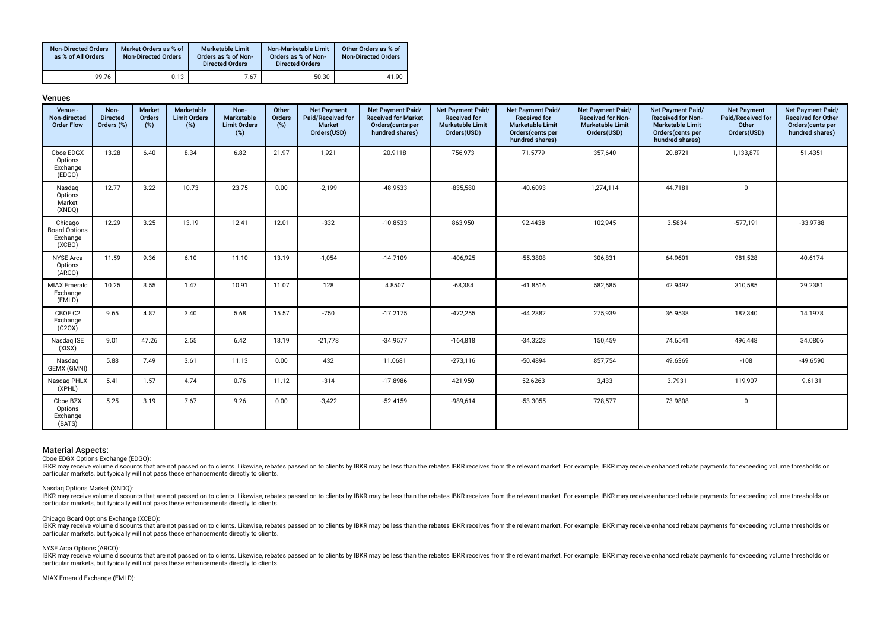| <b>Non-Directed Orders</b><br>as % of All Orders | Market Orders as % of<br><b>Non-Directed Orders</b> | Marketable Limit<br>Orders as % of Non-<br><b>Directed Orders</b> | Non-Marketable Limit<br>Orders as % of Non-<br><b>Directed Orders</b> | Other Orders as % of<br><b>Non-Directed Orders</b> |
|--------------------------------------------------|-----------------------------------------------------|-------------------------------------------------------------------|-----------------------------------------------------------------------|----------------------------------------------------|
| 99.76                                            | 0.13                                                | 7.67                                                              | 50.30                                                                 | 41.90                                              |

| ı<br>۰. |
|---------|
|---------|

| Venue -<br>Non-directed<br><b>Order Flow</b>          | Non-<br><b>Directed</b><br>Orders (%) | <b>Market</b><br>Orders<br>$(\%)$ | Marketable<br><b>Limit Orders</b><br>$(\%)$ | Non-<br>Marketable<br><b>Limit Orders</b><br>$(\%)$ | Other<br>Orders<br>(%) | <b>Net Payment</b><br>Paid/Received for<br>Market<br>Orders(USD) | Net Payment Paid/<br><b>Received for Market</b><br>Orders(cents per<br>hundred shares) | Net Payment Paid/<br><b>Received for</b><br><b>Marketable Limit</b><br>Orders(USD) | Net Payment Paid/<br><b>Received for</b><br><b>Marketable Limit</b><br>Orders(cents per<br>hundred shares) | Net Payment Paid/<br><b>Received for Non-</b><br><b>Marketable Limit</b><br>Orders(USD) | Net Payment Paid/<br><b>Received for Non-</b><br><b>Marketable Limit</b><br>Orders(cents per<br>hundred shares) | <b>Net Payment</b><br>Paid/Received for<br>Other<br>Orders(USD) | Net Payment Paid/<br><b>Received for Other</b><br>Orders(cents per<br>hundred shares) |
|-------------------------------------------------------|---------------------------------------|-----------------------------------|---------------------------------------------|-----------------------------------------------------|------------------------|------------------------------------------------------------------|----------------------------------------------------------------------------------------|------------------------------------------------------------------------------------|------------------------------------------------------------------------------------------------------------|-----------------------------------------------------------------------------------------|-----------------------------------------------------------------------------------------------------------------|-----------------------------------------------------------------|---------------------------------------------------------------------------------------|
| Cboe EDGX<br>Options<br>Exchange<br>(EDGO)            | 13.28                                 | 6.40                              | 8.34                                        | 6.82                                                | 21.97                  | 1,921                                                            | 20.9118                                                                                | 756,973                                                                            | 71.5779                                                                                                    | 357,640                                                                                 | 20.8721                                                                                                         | 1,133,879                                                       | 51.4351                                                                               |
| Nasdag<br>Options<br>Market<br>(XNDQ)                 | 12.77                                 | 3.22                              | 10.73                                       | 23.75                                               | 0.00                   | $-2,199$                                                         | $-48.9533$                                                                             | $-835,580$                                                                         | $-40.6093$                                                                                                 | 1,274,114                                                                               | 44.7181                                                                                                         | $\Omega$                                                        |                                                                                       |
| Chicago<br><b>Board Options</b><br>Exchange<br>(XCBO) | 12.29                                 | 3.25                              | 13.19                                       | 12.41                                               | 12.01                  | $-332$                                                           | $-10.8533$                                                                             | 863,950                                                                            | 92.4438                                                                                                    | 102,945                                                                                 | 3.5834                                                                                                          | $-577,191$                                                      | $-33.9788$                                                                            |
| <b>NYSE</b> Arca<br>Options<br>(ARCO)                 | 11.59                                 | 9.36                              | 6.10                                        | 11.10                                               | 13.19                  | $-1,054$                                                         | $-14.7109$                                                                             | $-406,925$                                                                         | $-55.3808$                                                                                                 | 306,831                                                                                 | 64.9601                                                                                                         | 981,528                                                         | 40.6174                                                                               |
| <b>MIAX Emerald</b><br>Exchange<br>(EMLD)             | 10.25                                 | 3.55                              | 1.47                                        | 10.91                                               | 11.07                  | 128                                                              | 4.8507                                                                                 | $-68,384$                                                                          | $-41.8516$                                                                                                 | 582,585                                                                                 | 42.9497                                                                                                         | 310,585                                                         | 29.2381                                                                               |
| CBOE C2<br>Exchange<br>(C20X)                         | 9.65                                  | 4.87                              | 3.40                                        | 5.68                                                | 15.57                  | $-750$                                                           | $-17.2175$                                                                             | $-472,255$                                                                         | $-44.2382$                                                                                                 | 275,939                                                                                 | 36.9538                                                                                                         | 187,340                                                         | 14.1978                                                                               |
| Nasdag ISE<br>(XISX)                                  | 9.01                                  | 47.26                             | 2.55                                        | 6.42                                                | 13.19                  | $-21,778$                                                        | $-34.9577$                                                                             | $-164,818$                                                                         | $-34.3223$                                                                                                 | 150,459                                                                                 | 74.6541                                                                                                         | 496,448                                                         | 34.0806                                                                               |
| Nasdag<br>GEMX (GMNI)                                 | 5.88                                  | 7.49                              | 3.61                                        | 11.13                                               | 0.00                   | 432                                                              | 11.0681                                                                                | $-273,116$                                                                         | $-50.4894$                                                                                                 | 857,754                                                                                 | 49.6369                                                                                                         | $-108$                                                          | $-49.6590$                                                                            |
| Nasdag PHLX<br>(XPHL)                                 | 5.41                                  | 1.57                              | 4.74                                        | 0.76                                                | 11.12                  | $-314$                                                           | $-17.8986$                                                                             | 421,950                                                                            | 52.6263                                                                                                    | 3,433                                                                                   | 3.7931                                                                                                          | 119,907                                                         | 9.6131                                                                                |
| Cboe BZX<br>Options<br>Exchange<br>(BATS)             | 5.25                                  | 3.19                              | 7.67                                        | 9.26                                                | 0.00                   | $-3,422$                                                         | $-52.4159$                                                                             | $-989,614$                                                                         | $-53.3055$                                                                                                 | 728,577                                                                                 | 73.9808                                                                                                         | $\mathbf 0$                                                     |                                                                                       |

Cboe EDGX Options Exchange (EDGO):

IBKR may receive volume discounts that are not passed on to clients. Likewise, rebates passed on to clients by IBKR may be less than the rebates IBKR receives from the relevant market. For example, IBKR may receive enhance particular markets, but typically will not pass these enhancements directly to clients.

#### Nasdaq Options Market (XNDQ):

IBKR may receive volume discounts that are not passed on to clients. Likewise, rebates passed on to clients by IBKR may be less than the rebates IBKR receives from the relevant market. For example, IBKR may receive enhance particular markets, but typically will not pass these enhancements directly to clients.

#### Chicago Board Options Exchange (XCBO):

Discussion and receive volume discounts that are not passed on to clients. Likewise, rebates passed on to clients by IBKR may be less than the rebates IBKR receives from the relevant market. For example, IBKR may receive e particular markets, but typically will not pass these enhancements directly to clients.

#### NYSE Arca Options (ARCO):

HER may receive volume discounts that are not passed on to clients. Likewise, rebates passed on to clients by IBKR may be less than the rebates IBKR receives from the relevant market. For example, IBKR may receive enhanced particular markets, but typically will not pass these enhancements directly to clients.

#### MIAX Emerald Exchange (EMLD):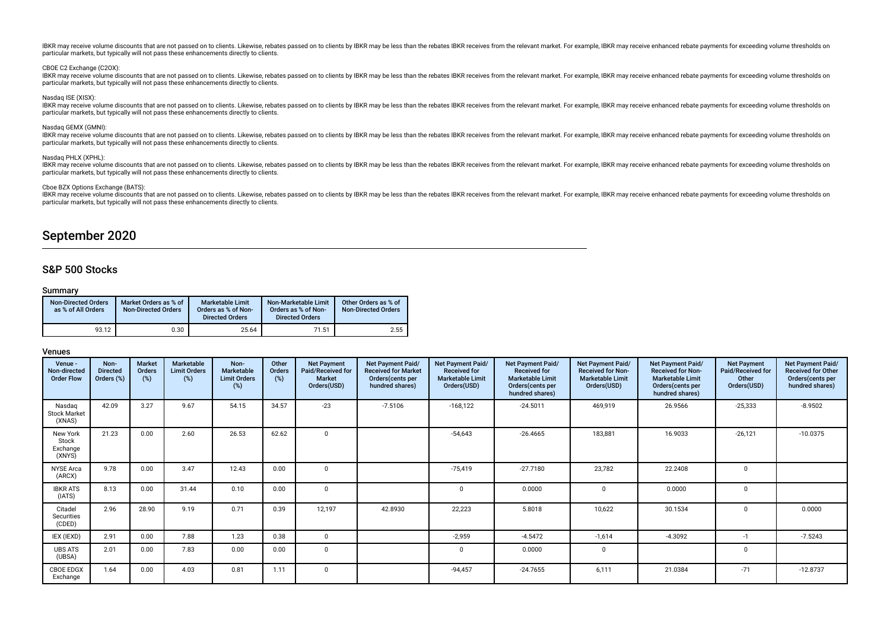IBKR may receive volume discounts that are not passed on to clients. Likewise, rebates passed on to clients by IBKR may be less than the rebates IBKR receives from the relevant market. For example, IBKR may receive enhance particular markets, but typically will not pass these enhancements directly to clients.

#### CBOE C2 Exchange (C2OX):

IBKR may receive volume discounts that are not passed on to clients. Likewise, rebates passed on to clients by IBKR may be less than the rebates IBKR receives from the relevant market. For example, IBKR may receive enhance particular markets, but typically will not pass these enhancements directly to clients.

#### Nasdaq ISE (XISX):

IBKR may receive volume discounts that are not passed on to clients. Likewise, rebates passed on to clients by IBKR may be less than the rebates IBKR receives from the relevant market. For example, IBKR may receive enhance particular markets, but typically will not pass these enhancements directly to clients.

#### Nasdaq GEMX (GMNI):

Discounts that are not passed on to clients. Likewise, rebates passed on to clients by IBKR may be less than the rebates IBKR receives from the relevant market. For example, IBKR may receive enhanced rebate payments for ex particular markets, but typically will not pass these enhancements directly to clients.

#### Nasdaq PHLX (XPHL):

IBKR may receive volume discounts that are not passed on to clients. Likewise, rebates passed on to clients by IBKR may be less than the rebates IBKR receives from the relevant market. For example, IBKR may receive enhance particular markets, but typically will not pass these enhancements directly to clients.

#### Cboe BZX Options Exchange (BATS):

IBKR may receive volume discounts that are not passed on to clients. Likewise, rebates passed on to clients by IBKR may be less than the rebates IBKR receives from the relevant market. For example, IBKR may receive enhance particular markets, but typically will not pass these enhancements directly to clients.

## September 2020

## S&P 500 Stocks

## Summary

| <b>Non-Directed Orders</b><br>as % of All Orders | Market Orders as % of<br><b>Non-Directed Orders</b> | Marketable Limit<br>Orders as % of Non-<br><b>Directed Orders</b> | Non-Marketable Limit<br>Orders as % of Non-<br><b>Directed Orders</b> | Other Orders as % of<br><b>Non-Directed Orders</b> |
|--------------------------------------------------|-----------------------------------------------------|-------------------------------------------------------------------|-----------------------------------------------------------------------|----------------------------------------------------|
| 93.12                                            | 0.30                                                | 25.64                                                             | 71.51                                                                 | 2.55                                               |

| Venue -<br>Non-directed<br><b>Order Flow</b> | Non-<br><b>Directed</b><br>Orders (%) | Market<br>Orders<br>(%) | Marketable<br><b>Limit Orders</b><br>(%) | Non-<br><b>Marketable</b><br><b>Limit Orders</b><br>$(\%)$ | Other<br><b>Orders</b><br>(%) | <b>Net Payment</b><br>Paid/Received for<br><b>Market</b><br>Orders(USD) | Net Payment Paid/<br><b>Received for Market</b><br>Orders(cents per<br>hundred shares) | Net Payment Paid/<br><b>Received for</b><br><b>Marketable Limit</b><br>Orders(USD) | Net Payment Paid/<br><b>Received for</b><br><b>Marketable Limit</b><br>Orders (cents per<br>hundred shares) | Net Payment Paid/<br><b>Received for Non-</b><br><b>Marketable Limit</b><br>Orders(USD) | Net Payment Paid/<br><b>Received for Non-</b><br><b>Marketable Limit</b><br>Orders(cents per<br>hundred shares) | <b>Net Payment</b><br>Paid/Received for<br>Other<br>Orders(USD) | Net Payment Paid/<br><b>Received for Other</b><br>Orders(cents per<br>hundred shares) |
|----------------------------------------------|---------------------------------------|-------------------------|------------------------------------------|------------------------------------------------------------|-------------------------------|-------------------------------------------------------------------------|----------------------------------------------------------------------------------------|------------------------------------------------------------------------------------|-------------------------------------------------------------------------------------------------------------|-----------------------------------------------------------------------------------------|-----------------------------------------------------------------------------------------------------------------|-----------------------------------------------------------------|---------------------------------------------------------------------------------------|
| Nasdag<br><b>Stock Market</b><br>(XNAS)      | 42.09                                 | 3.27                    | 9.67                                     | 54.15                                                      | 34.57                         | $-23$                                                                   | $-7.5106$                                                                              | $-168,122$                                                                         | $-24.5011$                                                                                                  | 469,919                                                                                 | 26.9566                                                                                                         | $-25,333$                                                       | $-8.9502$                                                                             |
| New York<br>Stock<br>Exchange<br>(XNYS)      | 21.23                                 | 0.00                    | 2.60                                     | 26.53                                                      | 62.62                         | $\Omega$                                                                |                                                                                        | $-54,643$                                                                          | $-26.4665$                                                                                                  | 183,881                                                                                 | 16.9033                                                                                                         | $-26,121$                                                       | $-10.0375$                                                                            |
| <b>NYSE Arca</b><br>(ARCX)                   | 9.78                                  | 0.00                    | 3.47                                     | 12.43                                                      | 0.00                          | $\Omega$                                                                |                                                                                        | $-75,419$                                                                          | $-27.7180$                                                                                                  | 23,782                                                                                  | 22.2408                                                                                                         | $\Omega$                                                        |                                                                                       |
| <b>IBKR ATS</b><br>(IATS)                    | 8.13                                  | 0.00                    | 31.44                                    | 0.10                                                       | 0.00                          | $\Omega$                                                                |                                                                                        | $\Omega$                                                                           | 0.0000                                                                                                      | $\Omega$                                                                                | 0.0000                                                                                                          | $\mathbf 0$                                                     |                                                                                       |
| Citadel<br>Securities<br>(CDED)              | 2.96                                  | 28.90                   | 9.19                                     | 0.71                                                       | 0.39                          | 12,197                                                                  | 42.8930                                                                                | 22,223                                                                             | 5.8018                                                                                                      | 10,622                                                                                  | 30.1534                                                                                                         | $\Omega$                                                        | 0.0000                                                                                |
| IEX (IEXD)                                   | 2.91                                  | 0.00                    | 7.88                                     | 1.23                                                       | 0.38                          | $\Omega$                                                                |                                                                                        | $-2,959$                                                                           | $-4.5472$                                                                                                   | $-1,614$                                                                                | $-4.3092$                                                                                                       | $-1$                                                            | $-7.5243$                                                                             |
| <b>UBS ATS</b><br>(UBSA)                     | 2.01                                  | 0.00                    | 7.83                                     | 0.00                                                       | 0.00                          | $\Omega$                                                                |                                                                                        | $\Omega$                                                                           | 0.0000                                                                                                      | $\Omega$                                                                                |                                                                                                                 | $\mathbf 0$                                                     |                                                                                       |
| CBOE EDGX<br>Exchange                        | 1.64                                  | 0.00                    | 4.03                                     | 0.81                                                       | 1.11                          | $\Omega$                                                                |                                                                                        | $-94,457$                                                                          | $-24.7655$                                                                                                  | 6,111                                                                                   | 21.0384                                                                                                         | $-71$                                                           | $-12.8737$                                                                            |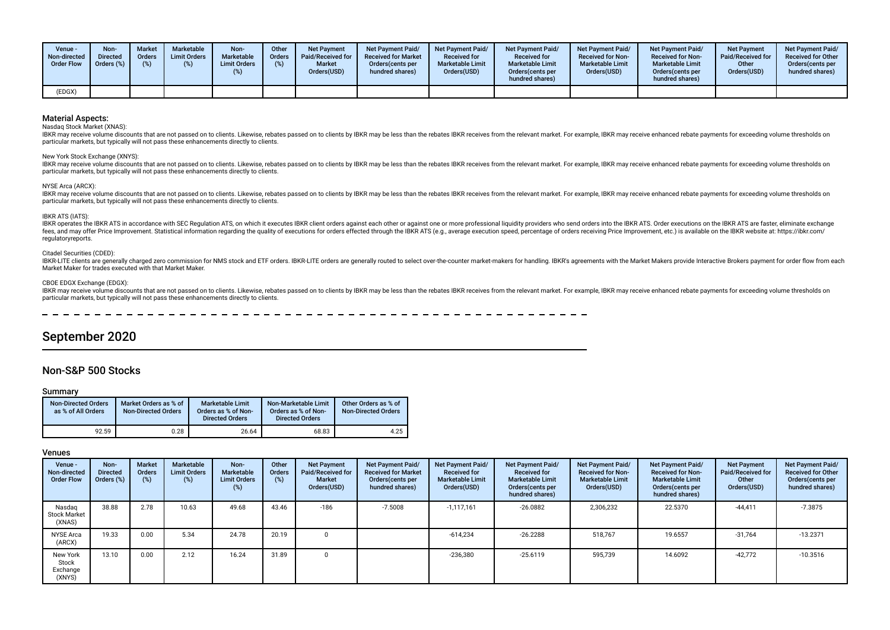| Venue -<br>Non-directed<br><b>Order Flow</b> | Non-<br><b>Directed</b><br>Orders (%) | <b>Market</b><br><b>Orders</b><br>(%) | <b>Marketable</b><br><b>Limit Orders</b><br>$(\%)$ | Non-<br><b>Marketable</b><br><b>Limit Orders</b> | Other<br><b>Orders</b><br>(%) | <b>Net Payment</b><br>Paid/Received for<br><b>Market</b><br>Orders(USD) | <b>Net Payment Paid/</b><br><b>Received for Market</b><br>Orders(cents per<br>hundred shares) | <b>Net Payment Paid/</b><br><b>Received for</b><br><b>Marketable Limit</b><br>Orders(USD) | <b>Net Payment Paid/</b><br><b>Received for</b><br><b>Marketable Limit</b><br>Orders(cents per<br>hundred shares) | <b>Net Payment Paid/</b><br><b>Received for Non-</b><br><b>Marketable Limit</b><br>Orders(USD) | Net Payment Paid/<br><b>Received for Non-</b><br><b>Marketable Limit</b><br>Orders (cents per<br>hundred shares) | <b>Net Payment</b><br>Paid/Received for<br>Other<br>Orders(USD) | <b>Net Payment Paid/</b><br><b>Received for Other</b><br>Orders(cents per<br>hundred shares) |
|----------------------------------------------|---------------------------------------|---------------------------------------|----------------------------------------------------|--------------------------------------------------|-------------------------------|-------------------------------------------------------------------------|-----------------------------------------------------------------------------------------------|-------------------------------------------------------------------------------------------|-------------------------------------------------------------------------------------------------------------------|------------------------------------------------------------------------------------------------|------------------------------------------------------------------------------------------------------------------|-----------------------------------------------------------------|----------------------------------------------------------------------------------------------|
| (EDGX)                                       |                                       |                                       |                                                    |                                                  |                               |                                                                         |                                                                                               |                                                                                           |                                                                                                                   |                                                                                                |                                                                                                                  |                                                                 |                                                                                              |

Nasdaq Stock Market (XNAS):

IBKR may receive volume discounts that are not passed on to clients. Likewise, rebates passed on to clients by IBKR may be less than the rebates IBKR receives from the relevant market. For example, IBKR may receive enhance particular markets, but typically will not pass these enhancements directly to clients.

#### New York Stock Exchange (XNYS):

IBKR may receive volume discounts that are not passed on to clients. Likewise, rebates passed on to clients by IBKR may be less than the rebates IBKR receives from the relevant market. For example, IBKR may receive enhance particular markets, but typically will not pass these enhancements directly to clients.

#### NYSE Arca (ARCX):

IBKR may receive volume discounts that are not passed on to clients. Likewise, rebates passed on to clients by IBKR may be less than the rebates IBKR receives from the relevant market. For example, IBKR may receive enhance particular markets, but typically will not pass these enhancements directly to clients.

#### IBKR ATS (IATS):

IBKR operates the IBKR ATS in accordance with SEC Regulation ATS, on which it executes IBKR client orders against each other or against one or more professional liquidity providers who send orders into the IBKR ATS. Order fees, and may offer Price Improvement. Statistical information regarding the quality of executions for orders effected through the IBKR ATS (e.g., average execution speed, percentage of orders receiving Price Improvement, regulatoryreports.

### Citadel Securities (CDED):

IBKR-LITE clients are generally charged zero commission for NMS stock and ETF orders. IBKR-LITE orders are generally routed to select over-the-counter market-makers for handling. IBKR's agreements with the Market Makers pr Market Maker for trades executed with that Market Maker.

#### CBOE EDGX Exchange (EDGX):

IBKR may receive volume discounts that are not passed on to clients. Likewise, rebates passed on to clients by IBKR may be less than the rebates IBKR receives from the relevant market. For example, IBKR may receive enhance particular markets, but typically will not pass these enhancements directly to clients.

## September 2020

## Non-S&P 500 Stocks

#### Summary

| <b>Non-Directed Orders</b><br>as % of All Orders | Market Orders as % of<br><b>Non-Directed Orders</b> | <b>Marketable Limit</b><br>Orders as % of Non-<br><b>Directed Orders</b> | Non-Marketable Limit<br>Orders as % of Non-<br><b>Directed Orders</b> | Other Orders as % of<br><b>Non-Directed Orders</b> |
|--------------------------------------------------|-----------------------------------------------------|--------------------------------------------------------------------------|-----------------------------------------------------------------------|----------------------------------------------------|
| 92.59                                            | 0.28                                                | 26.64                                                                    | 68.83                                                                 | 4.25                                               |

| Venue -<br>Non-directed<br><b>Order Flow</b> | Non-<br><b>Directed</b><br>Orders (%) | <b>Market</b><br>Orders<br>(%) | Marketable<br><b>Limit Orders</b><br>$(\%)$ | Non-<br>Marketable<br><b>Limit Orders</b><br>$(\%)$ | Other<br>Orders<br>(%) | <b>Net Payment</b><br>Paid/Received for<br><b>Market</b><br>Orders(USD) | Net Payment Paid/<br><b>Received for Market</b><br>Orders(cents per<br>hundred shares) | Net Payment Paid/<br><b>Received for</b><br><b>Marketable Limit</b><br>Orders(USD) | Net Payment Paid/<br><b>Received for</b><br><b>Marketable Limit</b><br>Orders (cents per<br>hundred shares) | Net Payment Paid/<br><b>Received for Non-</b><br><b>Marketable Limit</b><br>Orders(USD) | Net Payment Paid/<br><b>Received for Non-</b><br><b>Marketable Limit</b><br>Orders (cents per<br>hundred shares) | <b>Net Payment</b><br>Paid/Received for<br>Other<br>Orders(USD) | Net Payment Paid/<br><b>Received for Other</b><br>Orders (cents per<br>hundred shares) |
|----------------------------------------------|---------------------------------------|--------------------------------|---------------------------------------------|-----------------------------------------------------|------------------------|-------------------------------------------------------------------------|----------------------------------------------------------------------------------------|------------------------------------------------------------------------------------|-------------------------------------------------------------------------------------------------------------|-----------------------------------------------------------------------------------------|------------------------------------------------------------------------------------------------------------------|-----------------------------------------------------------------|----------------------------------------------------------------------------------------|
| Nasdag<br><b>Stock Market</b><br>(XNAS)      | 38.88                                 | 2.78                           | 10.63                                       | 49.68                                               | 43.46                  | $-186$                                                                  | $-7.5008$                                                                              | $-1,117,161$                                                                       | $-26.0882$                                                                                                  | 2,306,232                                                                               | 22.5370                                                                                                          | $-44,411$                                                       | $-7.3875$                                                                              |
| <b>NYSE Arca</b><br>(ARCX)                   | 19.33                                 | 0.00                           | 5.34                                        | 24.78                                               | 20.19                  | $\Omega$                                                                |                                                                                        | $-614,234$                                                                         | $-26.2288$                                                                                                  | 518,767                                                                                 | 19.6557                                                                                                          | $-31,764$                                                       | $-13.2371$                                                                             |
| New York<br>Stock<br>Exchange<br>(XNYS)      | 13.10                                 | 0.00                           | 2.12                                        | 16.24                                               | 31.89                  | $\mathbf 0$                                                             |                                                                                        | $-236,380$                                                                         | $-25.6119$                                                                                                  | 595,739                                                                                 | 14.6092                                                                                                          | $-42.772$                                                       | $-10.3516$                                                                             |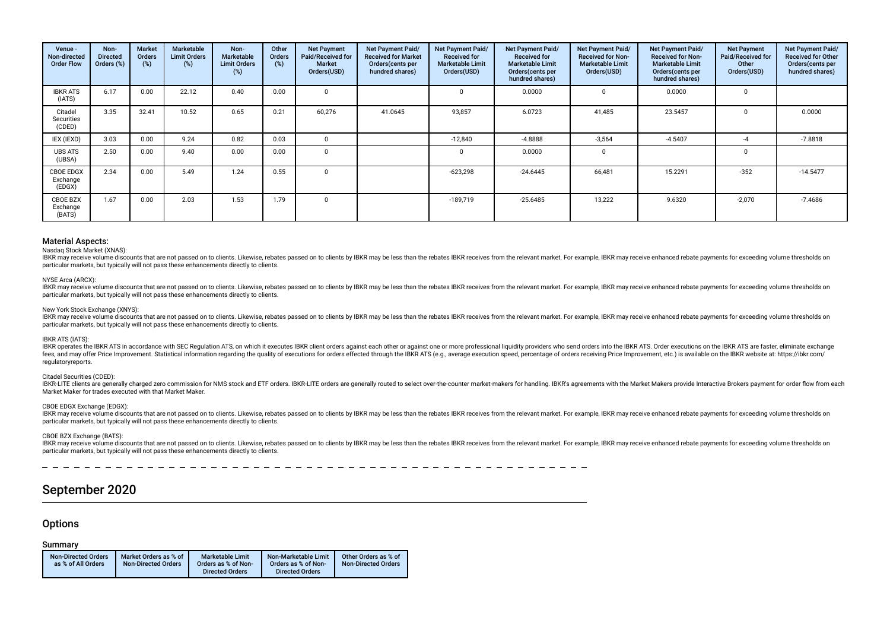| Venue -<br>Non-directed<br><b>Order Flow</b> | Non-<br><b>Directed</b><br>Orders (%) | <b>Market</b><br>Orders<br>(%) | Marketable<br><b>Limit Orders</b><br>$(\%)$ | Non-<br>Marketable<br><b>Limit Orders</b><br>(%) | Other<br>Orders<br>(%) | <b>Net Payment</b><br>Paid/Received for<br><b>Market</b><br>Orders(USD) | Net Payment Paid/<br><b>Received for Market</b><br>Orders (cents per<br>hundred shares) | Net Payment Paid/<br><b>Received for</b><br><b>Marketable Limit</b><br>Orders(USD) | Net Payment Paid/<br><b>Received for</b><br><b>Marketable Limit</b><br>Orders(cents per<br>hundred shares) | Net Payment Paid/<br><b>Received for Non-</b><br><b>Marketable Limit</b><br>Orders(USD) | Net Payment Paid/<br><b>Received for Non-</b><br><b>Marketable Limit</b><br>Orders (cents per<br>hundred shares) | <b>Net Payment</b><br>Paid/Received for<br>Other<br>Orders(USD) | Net Payment Paid/<br><b>Received for Other</b><br>Orders(cents per<br>hundred shares) |
|----------------------------------------------|---------------------------------------|--------------------------------|---------------------------------------------|--------------------------------------------------|------------------------|-------------------------------------------------------------------------|-----------------------------------------------------------------------------------------|------------------------------------------------------------------------------------|------------------------------------------------------------------------------------------------------------|-----------------------------------------------------------------------------------------|------------------------------------------------------------------------------------------------------------------|-----------------------------------------------------------------|---------------------------------------------------------------------------------------|
| <b>IBKR ATS</b><br>(IATS)                    | 6.17                                  | 0.00                           | 22.12                                       | 0.40                                             | 0.00                   | $\Omega$                                                                |                                                                                         |                                                                                    | 0.0000                                                                                                     |                                                                                         | 0.0000                                                                                                           |                                                                 |                                                                                       |
| Citadel<br>Securities<br>(CDED)              | 3.35                                  | 32.41                          | 10.52                                       | 0.65                                             | 0.21                   | 60,276                                                                  | 41.0645                                                                                 | 93,857                                                                             | 6.0723                                                                                                     | 41,485                                                                                  | 23.5457                                                                                                          |                                                                 | 0.0000                                                                                |
| IEX (IEXD)                                   | 3.03                                  | 0.00                           | 9.24                                        | 0.82                                             | 0.03                   | 0                                                                       |                                                                                         | $-12,840$                                                                          | $-4.8888$                                                                                                  | $-3,564$                                                                                | $-4.5407$                                                                                                        | -4                                                              | $-7.8818$                                                                             |
| <b>UBS ATS</b><br>(UBSA)                     | 2.50                                  | 0.00                           | 9.40                                        | 0.00                                             | 0.00                   | $\Omega$                                                                |                                                                                         |                                                                                    | 0.0000                                                                                                     |                                                                                         |                                                                                                                  | $\Omega$                                                        |                                                                                       |
| <b>CBOE EDGX</b><br>Exchange<br>(EDGX)       | 2.34                                  | 0.00                           | 5.49                                        | 1.24                                             | 0.55                   | $\Omega$                                                                |                                                                                         | $-623,298$                                                                         | $-24.6445$                                                                                                 | 66,481                                                                                  | 15.2291                                                                                                          | $-352$                                                          | $-14.5477$                                                                            |
| CBOE BZX<br>Exchange<br>(BATS)               | 1.67                                  | 0.00                           | 2.03                                        | 1.53                                             | 1.79                   | $\Omega$                                                                |                                                                                         | $-189,719$                                                                         | $-25.6485$                                                                                                 | 13,222                                                                                  | 9.6320                                                                                                           | $-2,070$                                                        | -7.4686                                                                               |

#### Nasdaq Stock Market (XNAS):

IBKR may receive volume discounts that are not passed on to clients. Likewise, rebates passed on to clients by IBKR may be less than the rebates IBKR receives from the relevant market. For example, IBKR may receive enhance particular markets, but typically will not pass these enhancements directly to clients.

#### NYSE Arca (ARCX):

IBKR may receive volume discounts that are not passed on to clients. Likewise, rebates passed on to clients by IBKR may be less than the rebates IBKR receives from the relevant market. For example, IBKR may receive enhance particular markets, but typically will not pass these enhancements directly to clients.

#### New York Stock Exchange (XNYS):

IBKR may receive volume discounts that are not passed on to clients. Likewise, rebates passed on to clients by IBKR may be less than the rebates IBKR receives from the relevant market. For example, IBKR may receive enhance particular markets, but typically will not pass these enhancements directly to clients.

#### IBKR ATS (IATS):

IBKR operates the IBKR ATS in accordance with SEC Regulation ATS, on which it executes IBKR client orders against each other or against one or more professional liquidity providers who send orders into the IBKR ATS. Order fees, and may offer Price Improvement. Statistical information regarding the quality of executions for orders effected through the IBKR ATS (e.g., average execution speed, percentage of orders receiving Price Improvement, regulatoryreports.

### Citadel Securities (CDED):

IBKR-LITE clients are generally charged zero commission for NMS stock and ETF orders. IBKR-LITE orders are generally routed to select over-the-counter market-makers for handling. IBKR's agreements with the Market Makers pr Market Maker for trades executed with that Market Maker.

## CBOE EDGX Exchange (EDGX):

IBKR may receive volume discounts that are not passed on to clients. Likewise, rebates passed on to clients by IBKR may be less than the rebates IBKR receives from the relevant market. For example, IBKR may receive enhance particular markets, but typically will not pass these enhancements directly to clients.

#### CBOE BZX Exchange (BATS):

IBKR may receive volume discounts that are not passed on to clients. Likewise, rebates passed on to clients by IBKR may be less than the rebates IBKR receives from the relevant market. For example, IBKR may receive enhance particular markets, but typically will not pass these enhancements directly to clients.

## September 2020

## **Options**

#### Summary

| <b>Non-Directed Orders</b><br>as % of All Orders | Market Orders as % of<br><b>Non-Directed Orders</b> | <b>Marketable Limit</b><br>Orders as % of Non-<br><b>Directed Orders</b> | Non-Marketable Limit<br>Orders as % of Non-<br><b>Directed Orders</b> | Other Orders as % of<br><b>Non-Directed Orders</b> |
|--------------------------------------------------|-----------------------------------------------------|--------------------------------------------------------------------------|-----------------------------------------------------------------------|----------------------------------------------------|
|                                                  |                                                     |                                                                          |                                                                       |                                                    |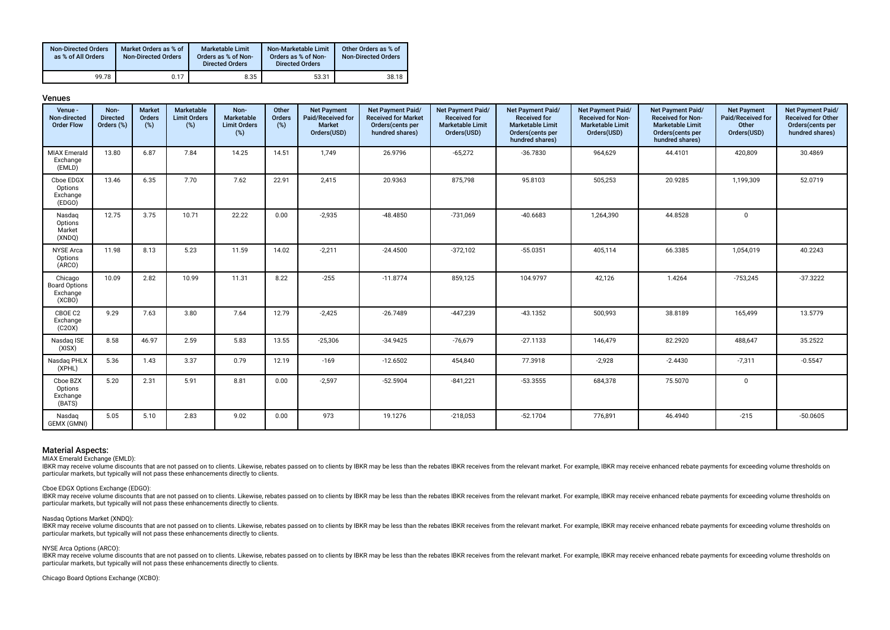| <b>Non-Directed Orders</b><br>as % of All Orders | Market Orders as % of<br><b>Non-Directed Orders</b> | <b>Marketable Limit</b><br>Orders as % of Non-<br><b>Directed Orders</b> | Non-Marketable Limit<br>Orders as % of Non-<br><b>Directed Orders</b> | Other Orders as % of<br><b>Non-Directed Orders</b> |
|--------------------------------------------------|-----------------------------------------------------|--------------------------------------------------------------------------|-----------------------------------------------------------------------|----------------------------------------------------|
| 99.78                                            | 0.17                                                | 8.35                                                                     | 53.31                                                                 | 38.18                                              |

| Ш<br>٦ |  |
|--------|--|
|--------|--|

| Venue -<br>Non-directed<br><b>Order Flow</b>          | Non-<br><b>Directed</b><br>Orders (%) | <b>Market</b><br>Orders<br>$(\%)$ | Marketable<br><b>Limit Orders</b><br>(%) | Non-<br>Marketable<br><b>Limit Orders</b><br>(%) | Other<br>Orders<br>(%) | <b>Net Payment</b><br>Paid/Received for<br><b>Market</b><br>Orders(USD) | Net Payment Paid/<br><b>Received for Market</b><br>Orders(cents per<br>hundred shares) | Net Payment Paid/<br><b>Received for</b><br><b>Marketable Limit</b><br>Orders(USD) | Net Payment Paid/<br><b>Received for</b><br><b>Marketable Limit</b><br>Orders (cents per<br>hundred shares) | Net Payment Paid/<br><b>Received for Non-</b><br><b>Marketable Limit</b><br>Orders(USD) | <b>Net Payment Paid/</b><br><b>Received for Non-</b><br><b>Marketable Limit</b><br>Orders(cents per<br>hundred shares) | <b>Net Payment</b><br>Paid/Received for<br>Other<br>Orders(USD) | Net Payment Paid/<br><b>Received for Other</b><br>Orders(cents per<br>hundred shares) |
|-------------------------------------------------------|---------------------------------------|-----------------------------------|------------------------------------------|--------------------------------------------------|------------------------|-------------------------------------------------------------------------|----------------------------------------------------------------------------------------|------------------------------------------------------------------------------------|-------------------------------------------------------------------------------------------------------------|-----------------------------------------------------------------------------------------|------------------------------------------------------------------------------------------------------------------------|-----------------------------------------------------------------|---------------------------------------------------------------------------------------|
| <b>MIAX Emerald</b><br>Exchange<br>(EMLD)             | 13.80                                 | 6.87                              | 7.84                                     | 14.25                                            | 14.51                  | 1,749                                                                   | 26.9796                                                                                | $-65,272$                                                                          | $-36.7830$                                                                                                  | 964,629                                                                                 | 44.4101                                                                                                                | 420,809                                                         | 30.4869                                                                               |
| Cboe EDGX<br>Options<br>Exchange<br>(EDGO)            | 13.46                                 | 6.35                              | 7.70                                     | 7.62                                             | 22.91                  | 2,415                                                                   | 20.9363                                                                                | 875,798                                                                            | 95.8103                                                                                                     | 505,253                                                                                 | 20.9285                                                                                                                | 1,199,309                                                       | 52.0719                                                                               |
| Nasdaq<br>Options<br>Market<br>(XNDQ)                 | 12.75                                 | 3.75                              | 10.71                                    | 22.22                                            | 0.00                   | $-2,935$                                                                | $-48.4850$                                                                             | $-731,069$                                                                         | $-40.6683$                                                                                                  | 1,264,390                                                                               | 44.8528                                                                                                                | $\mathbf 0$                                                     |                                                                                       |
| <b>NYSE Arca</b><br>Options<br>(ARCO)                 | 11.98                                 | 8.13                              | 5.23                                     | 11.59                                            | 14.02                  | $-2,211$                                                                | $-24.4500$                                                                             | $-372,102$                                                                         | $-55.0351$                                                                                                  | 405,114                                                                                 | 66.3385                                                                                                                | 1,054,019                                                       | 40.2243                                                                               |
| Chicago<br><b>Board Options</b><br>Exchange<br>(XCBO) | 10.09                                 | 2.82                              | 10.99                                    | 11.31                                            | 8.22                   | $-255$                                                                  | $-11.8774$                                                                             | 859,125                                                                            | 104.9797                                                                                                    | 42,126                                                                                  | 1.4264                                                                                                                 | $-753,245$                                                      | $-37.3222$                                                                            |
| CBOE C2<br>Exchange<br>(C20X)                         | 9.29                                  | 7.63                              | 3.80                                     | 7.64                                             | 12.79                  | $-2,425$                                                                | $-26.7489$                                                                             | $-447,239$                                                                         | $-43.1352$                                                                                                  | 500,993                                                                                 | 38.8189                                                                                                                | 165,499                                                         | 13.5779                                                                               |
| Nasdaq ISE<br>(XISX)                                  | 8.58                                  | 46.97                             | 2.59                                     | 5.83                                             | 13.55                  | $-25,306$                                                               | $-34.9425$                                                                             | $-76,679$                                                                          | $-27.1133$                                                                                                  | 146,479                                                                                 | 82.2920                                                                                                                | 488,647                                                         | 35.2522                                                                               |
| Nasdaq PHLX<br>(XPHL)                                 | 5.36                                  | 1.43                              | 3.37                                     | 0.79                                             | 12.19                  | $-169$                                                                  | $-12.6502$                                                                             | 454,840                                                                            | 77.3918                                                                                                     | $-2,928$                                                                                | $-2.4430$                                                                                                              | $-7,311$                                                        | $-0.5547$                                                                             |
| Cboe BZX<br>Options<br>Exchange<br>(BATS)             | 5.20                                  | 2.31                              | 5.91                                     | 8.81                                             | 0.00                   | $-2,597$                                                                | $-52.5904$                                                                             | $-841,221$                                                                         | $-53.3555$                                                                                                  | 684,378                                                                                 | 75.5070                                                                                                                | $\mathbf 0$                                                     |                                                                                       |
| Nasdaq<br>GEMX (GMNI)                                 | 5.05                                  | 5.10                              | 2.83                                     | 9.02                                             | 0.00                   | 973                                                                     | 19.1276                                                                                | $-218,053$                                                                         | $-52.1704$                                                                                                  | 776,891                                                                                 | 46.4940                                                                                                                | $-215$                                                          | $-50.0605$                                                                            |

MIAX Emerald Exchange (EMLD):

IBKR may receive volume discounts that are not passed on to clients. Likewise, rebates passed on to clients by IBKR may be less than the rebates IBKR receives from the relevant market. For example, IBKR may receive enhance particular markets, but typically will not pass these enhancements directly to clients.

#### Cboe EDGX Options Exchange (EDGO):

IBKR may receive volume discounts that are not passed on to clients. Likewise, rebates passed on to clients by IBKR may be less than the rebates IBKR receives from the relevant market. For example, IBKR may receive enhance particular markets, but typically will not pass these enhancements directly to clients.

#### Nasdaq Options Market (XNDQ):

IBKR may receive volume discounts that are not passed on to clients. Likewise, rebates passed on to clients by IBKR may be less than the rebates IBKR receives from the relevant market. For example, IBKR may receive enhance particular markets, but typically will not pass these enhancements directly to clients.

#### NYSE Arca Options (ARCO):

HER may receive volume discounts that are not passed on to clients. Likewise, rebates passed on to clients by IBKR may be less than the rebates IBKR receives from the relevant market. For example, IBKR may receive enhanced particular markets, but typically will not pass these enhancements directly to clients.

Chicago Board Options Exchange (XCBO):